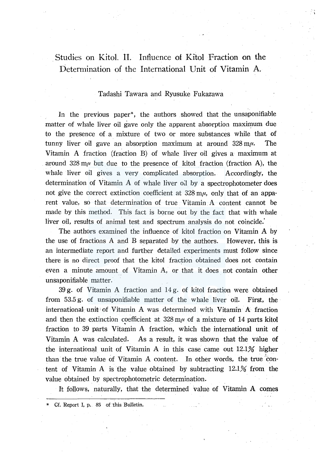## Studies on Kitol. II. Influence of Kitol Fraction on the Determination of the International Unit of Vitamin A.

### Tadashi Tawara and Ryusuke Fukazawa

In the previous paper\*, the authors showed that the unsaponifiable matter of whale liver oil gave only the apparent absorption maximum due to the presence of a mixture of two or more substances while that of tunny liver oil gave an absorption maximum at around  $328 \text{ m}\mu$ . The Vitamin A fraction (fraction B) of whale liver oil gives a maximum at around  $328 \text{ m}\mu$  but due to the presence of kitol fraction (fraction A), the whale liver oil gives a very complicated absorption. Accordingly, the determination of Vitamin  $\dot{A}$  of whale liver oil by a spectrophotometer does not give the correct extinction coefficient at  $328 \text{ m}\mu$ , only that of an apparent value, so that determination of true Vitamin A content cannot be made by this method. This fact is borne out by the fact that with whale liver oil, results of animal test and spectrum analysis do not coincide.'

The authors examined the influence of kitol fraction on Vitamin A by the use of fractions A and B separated by the authors. However, this is an intermediate report and further detailed experiments must follow since there is no direct proof that the kitol fraction obtained does not contain even a minute amount of Vitamin A, or that it does not contain other unsaponifiable matter.

39 g. of Vitamin A fraction and 14 g. of kitol fraction were obtained from 53.5 g. of unsaponifiable matter of the whale liver oil. First, the international, unit· of Vitamin A was determined with Vitamin A fraction and then the extinction coefficient at  $328 \text{ m}\mu$  of a mixture of 14 parts kitol fraction to 39 parts Vitamin A fraction, which the international unit of Vitamin A was calculated. As a result, it was shown that the value of the international unit of Vitamin A in this case came out 12.1% higher than the true value of Vitamin A content. In other words, the true content of Vitamin A is the value obtained by subtracting 12.1% from the value obtained by spectrophotometric determination.

It follows, naturally, that the determined value of Vitamin A comes

Cf. Report I, p. 85 of this Bulletin.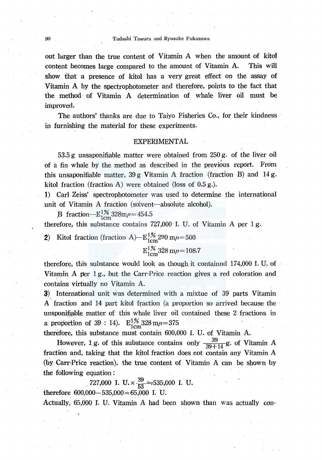out larger than the true content of Vitamin A when the amount of kitol content becomes large compared to the amount of Vitamin A. This will show that a presence of kitol has a very great effect on the assay of Vitamin A by the spectrophotometer and therefore, points to the fact that the method of Vitamin A determination of whale liver oil must be improved.

The authors' thanks are due to Taiyo Fisheries Co., for their kindness in furnishing the material for these experiments.

#### EXPERIMENTAL

53.5 g unsaponifiable matter were obtained from 250 g. of the liver oil of a fin whale by the method as described in the previous report. From this unsaponifiable matter,  $39 g$  Vitamin A fraction (fraction B) and 14 g. kitol fraction (fraction A) were obtained (loss of 0.5 g.).

1) Carl Zeiss' spectrophotometer was used to determine the international unit of Vitamin A fraction (solvent-absolute alcohol).

B fraction- $E_{1cm}^{1\%}328m\mu=454.5$ therefore, this substance contains 727,000 I. U. of Vitamin A per 1 g.

2) Kitol fraction (fraction A) $-E_{1cm}^{1\%}$  290 m $\mu$  = 500

$$
E_{1cm}^{1\%}328\ m\mu=108.7
$$

therefore, this substance would look as though it containnd 174,000 I. U. of Vitamin A per  $1 g<sub>1</sub>$ , but the Carr-Price reaction gives a red coloration and contains virtually no Vitamin A.

3) International unit was determined with a mixtue of 39 parts Vitamin A· fraction and 14 part kitol fraction (a pr0portion so arrived because the unsponifiable matter of this whale liver oil contained these 2 fractions in a proportion of 39 : 14).  $E_{1cm}^{1\%}$  328 m $\mu$  = 375

therefore, this substance must contain 600,000 I. U. of Vitamin A.

However, 1 g. of this substance contains only  $\frac{39}{39+14}$  g. of Vitamin A fraction and, taking that the kitol fraction does not contain any Vitamin A (by Carr-Price reaction), the true content of Vitamin A can be shown by the following equation :

727,000 I. U. 
$$
\times \frac{39}{52} \div 535,000
$$
 I. U.

therefore  $600,000 - 535,000 = 65,000$  I. U.

Actually, 65,000 I. U. Vitamin A had been shown than was actually con-